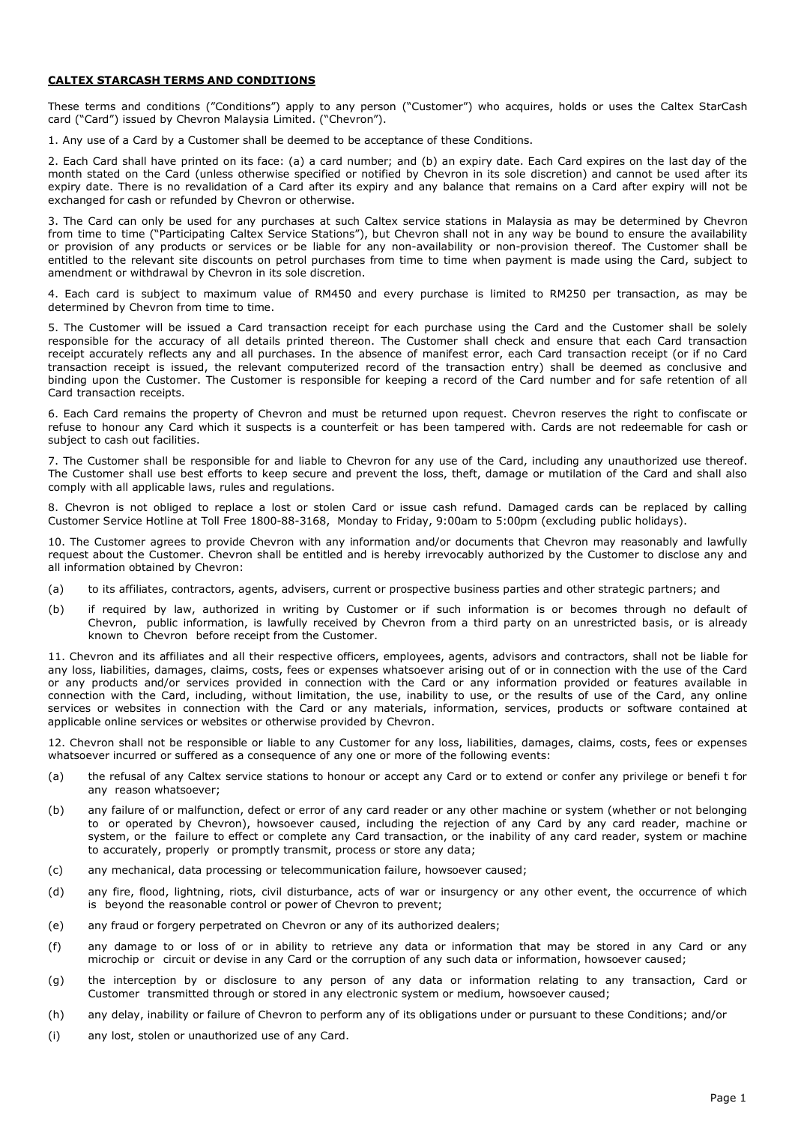## **CALTEX STARCASH TERMS AND CONDITIONS**

These terms and conditions ("Conditions") apply to any person ("Customer") who acquires, holds or uses the Caltex StarCash card ("Card") issued by Chevron Malaysia Limited. ("Chevron").

1. Any use of a Card by a Customer shall be deemed to be acceptance of these Conditions.

2. Each Card shall have printed on its face: (a) a card number; and (b) an expiry date. Each Card expires on the last day of the month stated on the Card (unless otherwise specified or notified by Chevron in its sole discretion) and cannot be used after its expiry date. There is no revalidation of a Card after its expiry and any balance that remains on a Card after expiry will not be exchanged for cash or refunded by Chevron or otherwise.

3. The Card can only be used for any purchases at such Caltex service stations in Malaysia as may be determined by Chevron from time to time ("Participating Caltex Service Stations"), but Chevron shall not in any way be bound to ensure the availability or provision of any products or services or be liable for any non-availability or non-provision thereof. The Customer shall be entitled to the relevant site discounts on petrol purchases from time to time when payment is made using the Card, subject to amendment or withdrawal by Chevron in its sole discretion.

4. Each card is subject to maximum value of RM450 and every purchase is limited to RM250 per transaction, as may be determined by Chevron from time to time.

5. The Customer will be issued a Card transaction receipt for each purchase using the Card and the Customer shall be solely responsible for the accuracy of all details printed thereon. The Customer shall check and ensure that each Card transaction receipt accurately reflects any and all purchases. In the absence of manifest error, each Card transaction receipt (or if no Card transaction receipt is issued, the relevant computerized record of the transaction entry) shall be deemed as conclusive and binding upon the Customer. The Customer is responsible for keeping a record of the Card number and for safe retention of all Card transaction receipts.

6. Each Card remains the property of Chevron and must be returned upon request. Chevron reserves the right to confiscate or refuse to honour any Card which it suspects is a counterfeit or has been tampered with. Cards are not redeemable for cash or subject to cash out facilities.

7. The Customer shall be responsible for and liable to Chevron for any use of the Card, including any unauthorized use thereof. The Customer shall use best efforts to keep secure and prevent the loss, theft, damage or mutilation of the Card and shall also comply with all applicable laws, rules and regulations.

8. Chevron is not obliged to replace a lost or stolen Card or issue cash refund. Damaged cards can be replaced by calling Customer Service Hotline at Toll Free 1800-88-3168, Monday to Friday, 9:00am to 5:00pm (excluding public holidays).

10. The Customer agrees to provide Chevron with any information and/or documents that Chevron may reasonably and lawfully request about the Customer. Chevron shall be entitled and is hereby irrevocably authorized by the Customer to disclose any and all information obtained by Chevron:

- (a) to its affiliates, contractors, agents, advisers, current or prospective business parties and other strategic partners; and
- (b) if required by law, authorized in writing by Customer or if such information is or becomes through no default of Chevron, public information, is lawfully received by Chevron from a third party on an unrestricted basis, or is already known to Chevron before receipt from the Customer.

11. Chevron and its affiliates and all their respective officers, employees, agents, advisors and contractors, shall not be liable for any loss, liabilities, damages, claims, costs, fees or expenses whatsoever arising out of or in connection with the use of the Card or any products and/or services provided in connection with the Card or any information provided or features available in connection with the Card, including, without limitation, the use, inability to use, or the results of use of the Card, any online services or websites in connection with the Card or any materials, information, services, products or software contained at applicable online services or websites or otherwise provided by Chevron.

12. Chevron shall not be responsible or liable to any Customer for any loss, liabilities, damages, claims, costs, fees or expenses whatsoever incurred or suffered as a consequence of any one or more of the following events:

- (a) the refusal of any Caltex service stations to honour or accept any Card or to extend or confer any privilege or benefi t for any reason whatsoever;
- (b) any failure of or malfunction, defect or error of any card reader or any other machine or system (whether or not belonging to or operated by Chevron), howsoever caused, including the rejection of any Card by any card reader, machine or system, or the failure to effect or complete any Card transaction, or the inability of any card reader, system or machine to accurately, properly or promptly transmit, process or store any data;
- (c) any mechanical, data processing or telecommunication failure, howsoever caused;
- (d) any fire, flood, lightning, riots, civil disturbance, acts of war or insurgency or any other event, the occurrence of which is beyond the reasonable control or power of Chevron to prevent;
- (e) any fraud or forgery perpetrated on Chevron or any of its authorized dealers;
- (f) any damage to or loss of or in ability to retrieve any data or information that may be stored in any Card or any microchip or circuit or devise in any Card or the corruption of any such data or information, howsoever caused;
- (g) the interception by or disclosure to any person of any data or information relating to any transaction, Card or Customer transmitted through or stored in any electronic system or medium, howsoever caused;
- (h) any delay, inability or failure of Chevron to perform any of its obligations under or pursuant to these Conditions; and/or
- (i) any lost, stolen or unauthorized use of any Card.